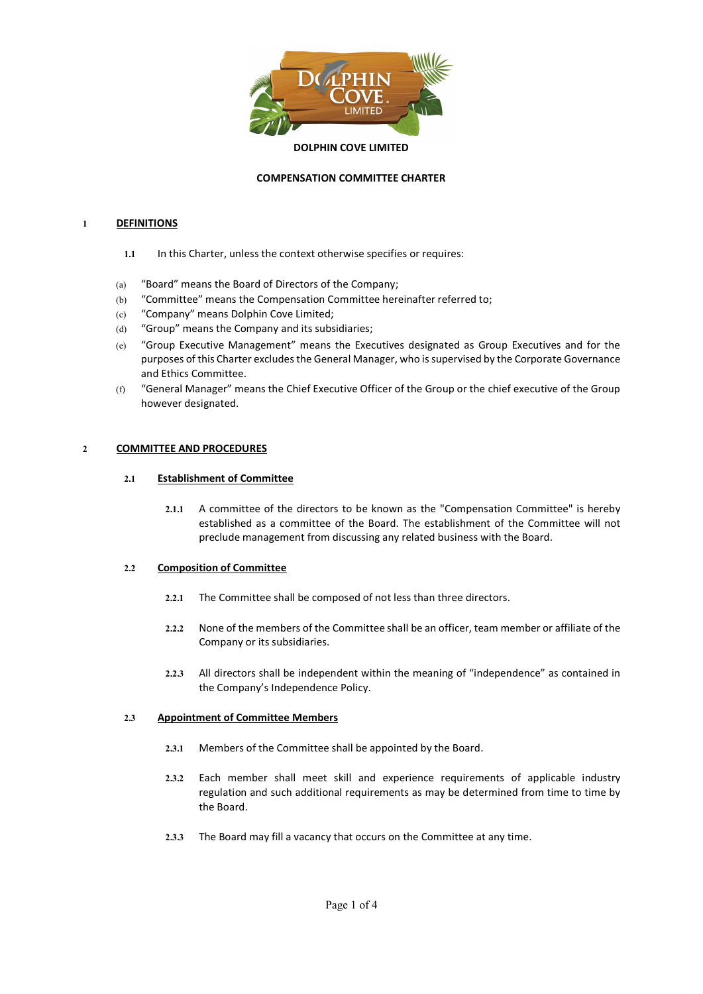

# COMPENSATION COMMITTEE CHARTER

# 1 DEFINITIONS

- 1.1 In this Charter, unless the context otherwise specifies or requires:
- (a) "Board" means the Board of Directors of the Company;
- (b) "Committee" means the Compensation Committee hereinafter referred to;
- (c) "Company" means Dolphin Cove Limited;
- (d) "Group" means the Company and its subsidiaries;
- (e) "Group Executive Management" means the Executives designated as Group Executives and for the purposes of this Charter excludes the General Manager, who is supervised by the Corporate Governance and Ethics Committee.
- (f) "General Manager" means the Chief Executive Officer of the Group or the chief executive of the Group however designated.

# 2 COMMITTEE AND PROCEDURES

# 2.1 Establishment of Committee

2.1.1 A committee of the directors to be known as the "Compensation Committee" is hereby established as a committee of the Board. The establishment of the Committee will not preclude management from discussing any related business with the Board.

# 2.2 Composition of Committee

- 2.2.1 The Committee shall be composed of not less than three directors.
- 2.2.2 None of the members of the Committee shall be an officer, team member or affiliate of the Company or its subsidiaries.
- 2.2.3 All directors shall be independent within the meaning of "independence" as contained in the Company's Independence Policy.

## 2.3 Appointment of Committee Members

- 2.3.1 Members of the Committee shall be appointed by the Board.
- 2.3.2 Each member shall meet skill and experience requirements of applicable industry regulation and such additional requirements as may be determined from time to time by the Board.
- 2.3.3 The Board may fill a vacancy that occurs on the Committee at any time.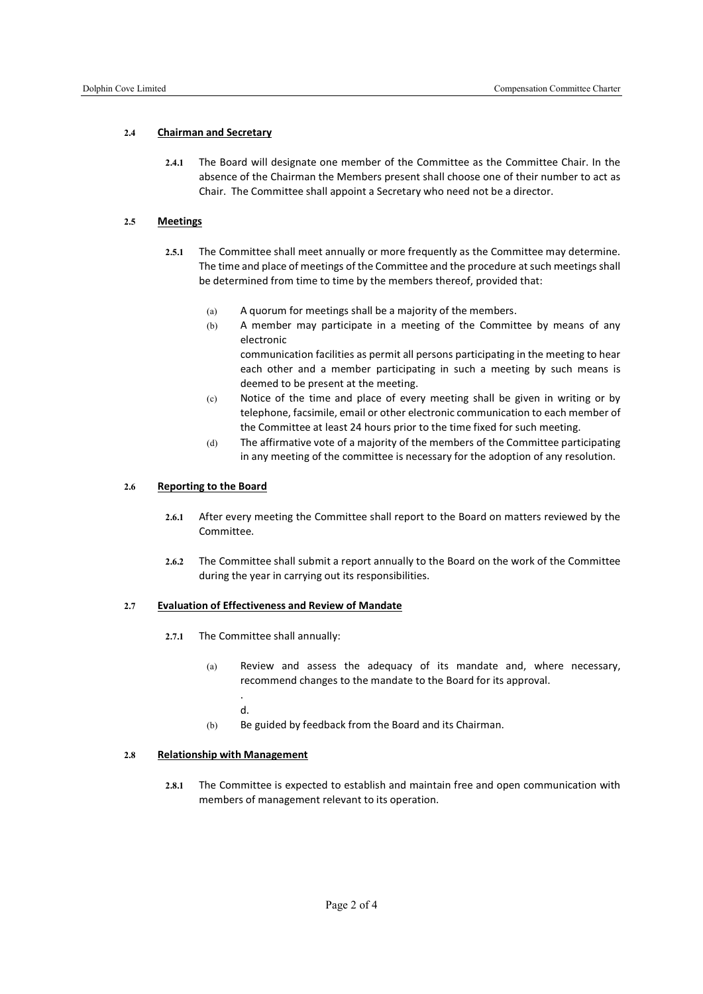# 2.4 Chairman and Secretary

2.4.1 The Board will designate one member of the Committee as the Committee Chair. In the absence of the Chairman the Members present shall choose one of their number to act as Chair. The Committee shall appoint a Secretary who need not be a director.

## 2.5 Meetings

- 2.5.1 The Committee shall meet annually or more frequently as the Committee may determine. The time and place of meetings of the Committee and the procedure at such meetings shall be determined from time to time by the members thereof, provided that:
	- (a) A quorum for meetings shall be a majority of the members.
	- (b) A member may participate in a meeting of the Committee by means of any electronic

communication facilities as permit all persons participating in the meeting to hear each other and a member participating in such a meeting by such means is deemed to be present at the meeting.

- (c) Notice of the time and place of every meeting shall be given in writing or by telephone, facsimile, email or other electronic communication to each member of the Committee at least 24 hours prior to the time fixed for such meeting.
- (d) The affirmative vote of a majority of the members of the Committee participating in any meeting of the committee is necessary for the adoption of any resolution.

#### 2.6 Reporting to the Board

- 2.6.1 After every meeting the Committee shall report to the Board on matters reviewed by the Committee.
- 2.6.2 The Committee shall submit a report annually to the Board on the work of the Committee during the year in carrying out its responsibilities.

#### 2.7 Evaluation of Effectiveness and Review of Mandate

- 2.7.1 The Committee shall annually:
	- (a) Review and assess the adequacy of its mandate and, where necessary, recommend changes to the mandate to the Board for its approval.
		- . d.
	- (b) Be guided by feedback from the Board and its Chairman.

#### 2.8 Relationship with Management

2.8.1 The Committee is expected to establish and maintain free and open communication with members of management relevant to its operation.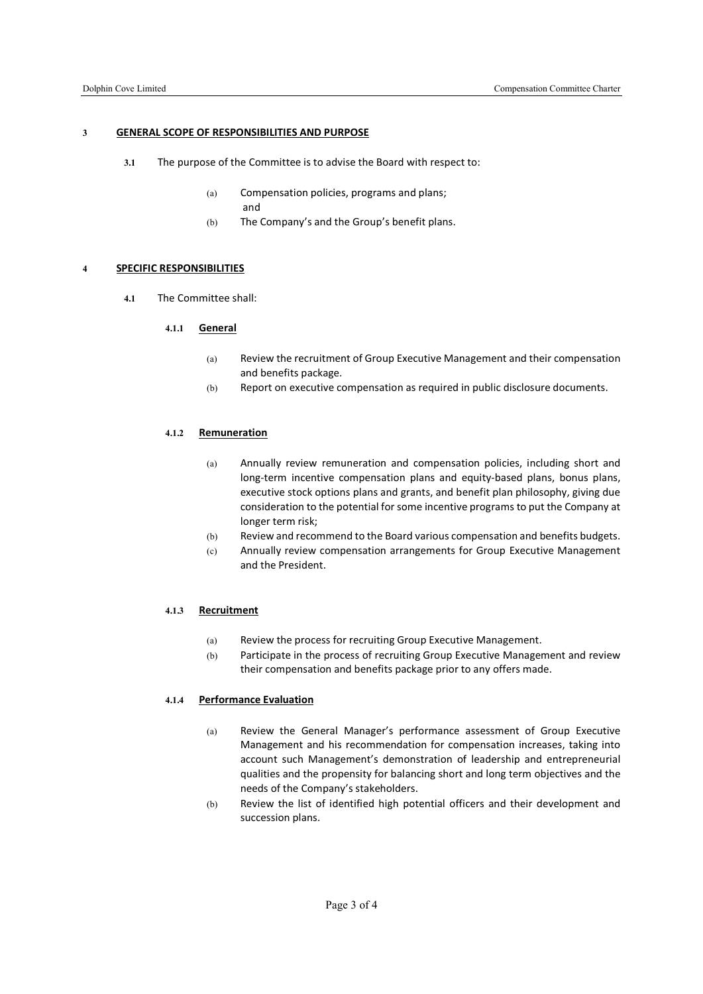#### 3 GENERAL SCOPE OF RESPONSIBILITIES AND PURPOSE

- 3.1 The purpose of the Committee is to advise the Board with respect to:
	- (a) Compensation policies, programs and plans;
		- and
	- (b) The Company's and the Group's benefit plans.

# 4 SPECIFIC RESPONSIBILITIES

4.1 The Committee shall:

# 4.1.1 General

- (a) Review the recruitment of Group Executive Management and their compensation and benefits package.
- (b) Report on executive compensation as required in public disclosure documents.

# 4.1.2 Remuneration

- (a) Annually review remuneration and compensation policies, including short and long-term incentive compensation plans and equity-based plans, bonus plans, executive stock options plans and grants, and benefit plan philosophy, giving due consideration to the potential for some incentive programs to put the Company at longer term risk;
- (b) Review and recommend to the Board various compensation and benefits budgets.
- (c) Annually review compensation arrangements for Group Executive Management and the President.

# 4.1.3 Recruitment

- (a) Review the process for recruiting Group Executive Management.
- (b) Participate in the process of recruiting Group Executive Management and review their compensation and benefits package prior to any offers made.

# 4.1.4 Performance Evaluation

- (a) Review the General Manager's performance assessment of Group Executive Management and his recommendation for compensation increases, taking into account such Management's demonstration of leadership and entrepreneurial qualities and the propensity for balancing short and long term objectives and the needs of the Company's stakeholders.
- (b) Review the list of identified high potential officers and their development and succession plans.